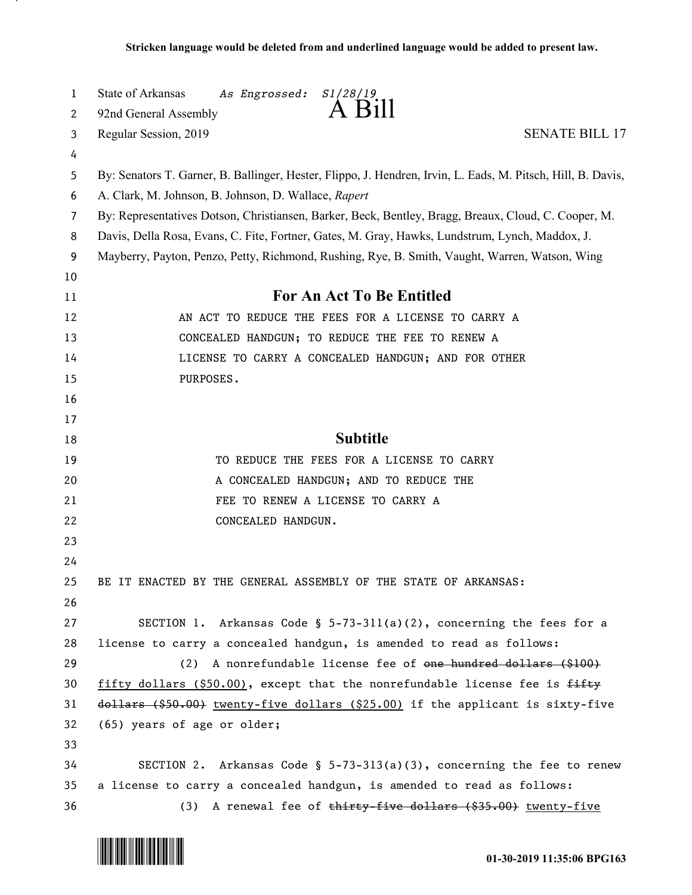| $\mathbf{1}$ | State of Arkansas<br>As Engrossed:<br>S1/28/19                                                               |  |  |
|--------------|--------------------------------------------------------------------------------------------------------------|--|--|
| 2            | A Bill<br>92nd General Assembly                                                                              |  |  |
| 3            | Regular Session, 2019<br><b>SENATE BILL 17</b>                                                               |  |  |
| 4            |                                                                                                              |  |  |
| 5            | By: Senators T. Garner, B. Ballinger, Hester, Flippo, J. Hendren, Irvin, L. Eads, M. Pitsch, Hill, B. Davis, |  |  |
| 6            | A. Clark, M. Johnson, B. Johnson, D. Wallace, Rapert                                                         |  |  |
| 7            | By: Representatives Dotson, Christiansen, Barker, Beck, Bentley, Bragg, Breaux, Cloud, C. Cooper, M.         |  |  |
| 8            | Davis, Della Rosa, Evans, C. Fite, Fortner, Gates, M. Gray, Hawks, Lundstrum, Lynch, Maddox, J.              |  |  |
| 9            | Mayberry, Payton, Penzo, Petty, Richmond, Rushing, Rye, B. Smith, Vaught, Warren, Watson, Wing               |  |  |
| 10           |                                                                                                              |  |  |
| 11           | <b>For An Act To Be Entitled</b>                                                                             |  |  |
| 12           | AN ACT TO REDUCE THE FEES FOR A LICENSE TO CARRY A                                                           |  |  |
| 13           | CONCEALED HANDGUN; TO REDUCE THE FEE TO RENEW A                                                              |  |  |
| 14           | LICENSE TO CARRY A CONCEALED HANDGUN; AND FOR OTHER                                                          |  |  |
| 15           | PURPOSES.                                                                                                    |  |  |
| 16           |                                                                                                              |  |  |
| 17           |                                                                                                              |  |  |
| 18           | <b>Subtitle</b>                                                                                              |  |  |
| 19           | TO REDUCE THE FEES FOR A LICENSE TO CARRY                                                                    |  |  |
| 20           | A CONCEALED HANDGUN; AND TO REDUCE THE                                                                       |  |  |
| 21           | FEE TO RENEW A LICENSE TO CARRY A                                                                            |  |  |
| 22           | CONCEALED HANDGUN.                                                                                           |  |  |
| 23           |                                                                                                              |  |  |
| 24           |                                                                                                              |  |  |
| 25           | BE IT ENACTED BY THE GENERAL ASSEMBLY OF THE STATE OF ARKANSAS:                                              |  |  |
| 26           |                                                                                                              |  |  |
| 27           | SECTION 1. Arkansas Code § $5-73-311(a)(2)$ , concerning the fees for a                                      |  |  |
| 28           | license to carry a concealed handgun, is amended to read as follows:                                         |  |  |
| 29           | (2) A nonrefundable license fee of one hundred dollars (\$100)                                               |  |  |
| 30           | fifty dollars (\$50.00), except that the nonrefundable license fee is fifty                                  |  |  |
| 31           | dollars (\$50.00) twenty-five dollars (\$25.00) if the applicant is sixty-five                               |  |  |
| 32           | (65) years of age or older;                                                                                  |  |  |
| 33           |                                                                                                              |  |  |
| 34           | SECTION 2. Arkansas Code § $5-73-313(a)(3)$ , concerning the fee to renew                                    |  |  |
| 35           | a license to carry a concealed handgun, is amended to read as follows:                                       |  |  |
| 36           | (3) A renewal fee of thirty-five dollars (\$35.00) twenty-five                                               |  |  |